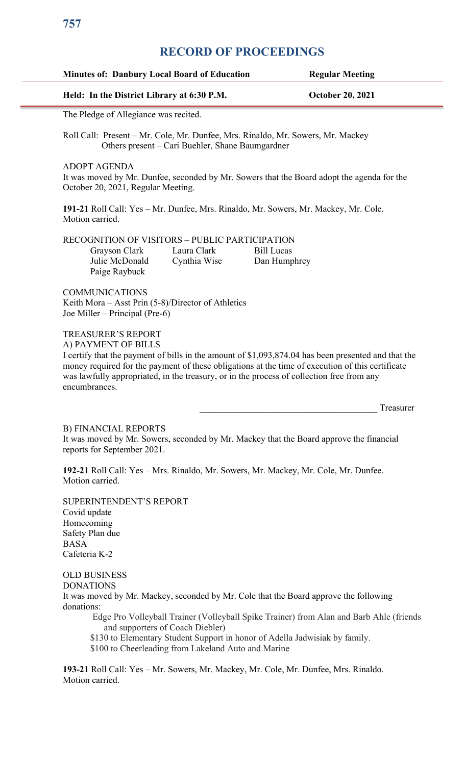| Held: In the District Library at 6:30 P.M.                                                                                                                        |                                                  | <b>October 20, 2021</b>                                                                                                                                                                                                                                                                              |
|-------------------------------------------------------------------------------------------------------------------------------------------------------------------|--------------------------------------------------|------------------------------------------------------------------------------------------------------------------------------------------------------------------------------------------------------------------------------------------------------------------------------------------------------|
| The Pledge of Allegiance was recited.                                                                                                                             |                                                  |                                                                                                                                                                                                                                                                                                      |
|                                                                                                                                                                   | Others present – Cari Buehler, Shane Baumgardner | Roll Call: Present – Mr. Cole, Mr. Dunfee, Mrs. Rinaldo, Mr. Sowers, Mr. Mackey                                                                                                                                                                                                                      |
| <b>ADOPT AGENDA</b><br>October 20, 2021, Regular Meeting.                                                                                                         |                                                  | It was moved by Mr. Dunfee, seconded by Mr. Sowers that the Board adopt the agenda for the                                                                                                                                                                                                           |
| Motion carried.                                                                                                                                                   |                                                  | 191-21 Roll Call: Yes - Mr. Dunfee, Mrs. Rinaldo, Mr. Sowers, Mr. Mackey, Mr. Cole.                                                                                                                                                                                                                  |
| <b>RECOGNITION OF VISITORS - PUBLIC PARTICIPATION</b><br>Grayson Clark<br>Julie McDonald<br>Paige Raybuck                                                         | Laura Clark<br>Cynthia Wise                      | <b>Bill Lucas</b><br>Dan Humphrey                                                                                                                                                                                                                                                                    |
| <b>COMMUNICATIONS</b><br>Keith Mora – Asst Prin $(5-8)/$ Director of Athletics<br>Joe Miller – Principal (Pre-6)                                                  |                                                  |                                                                                                                                                                                                                                                                                                      |
| <b>TREASURER'S REPORT</b><br>A) PAYMENT OF BILLS<br>encumbrances.                                                                                                 |                                                  | I certify that the payment of bills in the amount of \$1,093,874.04 has been presented and that the<br>money required for the payment of these obligations at the time of execution of this certificate<br>was lawfully appropriated, in the treasury, or in the process of collection free from any |
|                                                                                                                                                                   |                                                  | Treasurer                                                                                                                                                                                                                                                                                            |
| <b>B) FINANCIAL REPORTS</b><br>reports for September 2021.                                                                                                        |                                                  | It was moved by Mr. Sowers, seconded by Mr. Mackey that the Board approve the financial                                                                                                                                                                                                              |
| Motion carried.                                                                                                                                                   |                                                  | 192-21 Roll Call: Yes - Mrs. Rinaldo, Mr. Sowers, Mr. Mackey, Mr. Cole, Mr. Dunfee.                                                                                                                                                                                                                  |
|                                                                                                                                                                   |                                                  |                                                                                                                                                                                                                                                                                                      |
|                                                                                                                                                                   |                                                  |                                                                                                                                                                                                                                                                                                      |
| SUPERINTENDENT'S REPORT<br>Covid update<br>Homecoming<br>Safety Plan due<br><b>BASA</b><br>Cafeteria K-2<br><b>OLD BUSINESS</b><br><b>DONATIONS</b><br>donations: |                                                  | It was moved by Mr. Mackey, seconded by Mr. Cole that the Board approve the following                                                                                                                                                                                                                |

\$100 to Cheerleading from Lakeland Auto and Marine

**193-21** Roll Call: Yes – Mr. Sowers, Mr. Mackey, Mr. Cole, Mr. Dunfee, Mrs. Rinaldo. Motion carried.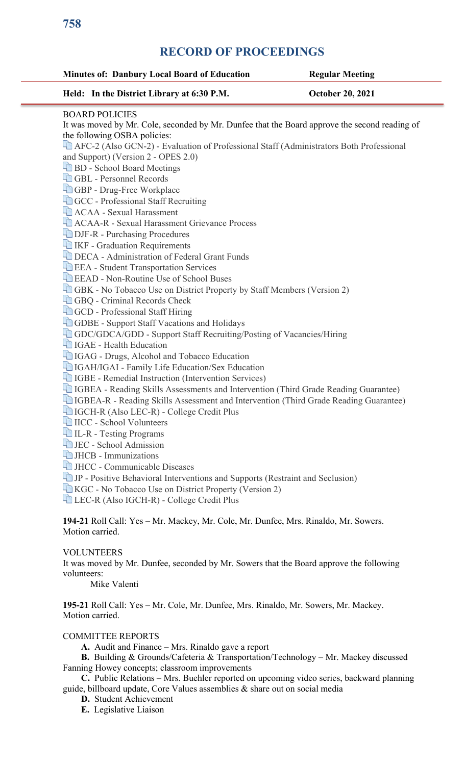| <b>Minutes of: Danbury Local Board of Education</b>                                              | <b>Regular Meeting</b>  |
|--------------------------------------------------------------------------------------------------|-------------------------|
| Held: In the District Library at 6:30 P.M.                                                       | <b>October 20, 2021</b> |
| <b>BOARD POLICIES</b>                                                                            |                         |
| It was moved by Mr. Cole, seconded by Mr. Dunfee that the Board approve the second reading of    |                         |
| the following OSBA policies:                                                                     |                         |
| AFC-2 (Also GCN-2) - Evaluation of Professional Staff (Administrators Both Professional          |                         |
| and Support) (Version 2 - OPES 2.0)                                                              |                         |
| <b>HD</b> BD - School Board Meetings<br>GBL - Personnel Records                                  |                         |
|                                                                                                  |                         |
| GBP - Drug-Free Workplace<br>GCC - Professional Staff Recruiting                                 |                         |
| <b>ACAA - Sexual Harassment</b>                                                                  |                         |
| <b>ACAA-R</b> - Sexual Harassment Grievance Process                                              |                         |
| <b>DJF-R</b> - Purchasing Procedures                                                             |                         |
|                                                                                                  |                         |
| <b>TEXT</b> IKF - Graduation Requirements<br><b>DECA</b> - Administration of Federal Grant Funds |                         |
| <b>EEA</b> - Student Transportation Services                                                     |                         |
| <b>EXAD</b> - Non-Routine Use of School Buses                                                    |                         |
| <b>GBK</b> - No Tobacco Use on District Property by Staff Members (Version 2)                    |                         |
| <b>GBQ</b> - Criminal Records Check                                                              |                         |
| GCD - Professional Staff Hiring                                                                  |                         |
| <b>GDBE</b> - Support Staff Vacations and Holidays                                               |                         |
| GDC/GDCA/GDD - Support Staff Recruiting/Posting of Vacancies/Hiring                              |                         |
| <b>TE IGAE</b> - Health Education                                                                |                         |
| IGAG - Drugs, Alcohol and Tobacco Education                                                      |                         |
| IGAH/IGAI - Family Life Education/Sex Education                                                  |                         |
| <b>TED</b> IGBE - Remedial Instruction (Intervention Services)                                   |                         |
| <b>Times IGBEA</b> - Reading Skills Assessments and Intervention (Third Grade Reading Guarantee) |                         |
| <b>The IGBEA-R</b> - Reading Skills Assessment and Intervention (Third Grade Reading Guarantee)  |                         |
| IGCH-R (Also LEC-R) - College Credit Plus                                                        |                         |
| IICC - School Volunteers                                                                         |                         |
| <b>LE-R</b> - Testing Programs                                                                   |                         |
| <b>La JEC</b> - School Admission                                                                 |                         |
| $\Box$ JHCB - Immunizations                                                                      |                         |
| <b>HE</b> JHCC - Communicable Diseases                                                           |                         |
| IP - Positive Behavioral Interventions and Supports (Restraint and Seclusion)                    |                         |
| KGC - No Tobacco Use on District Property (Version 2)                                            |                         |
| LEC-R (Also IGCH-R) - College Credit Plus                                                        |                         |
|                                                                                                  |                         |
| 194-21 Roll Call: Yes - Mr. Mackey, Mr. Cole, Mr. Dunfee, Mrs. Rinaldo, Mr. Sowers.              |                         |
| Motion carried.                                                                                  |                         |
|                                                                                                  |                         |
| <b>VOLUNTEERS</b>                                                                                |                         |
| It was moved by Mr. Dunfee, seconded by Mr. Sowers that the Board approve the following          |                         |
| volunteers:                                                                                      |                         |
| Mike Valenti                                                                                     |                         |

#### COMMITTEE REPORTS

Motion carried.

 **A.** Audit and Finance – Mrs. Rinaldo gave a report

 **B.** Building & Grounds/Cafeteria & Transportation/Technology – Mr. Mackey discussed Fanning Howey concepts; classroom improvements

 **C.** Public Relations – Mrs. Buehler reported on upcoming video series, backward planning guide, billboard update, Core Values assemblies & share out on social media

 **D.** Student Achievement

 **E.** Legislative Liaison

**758**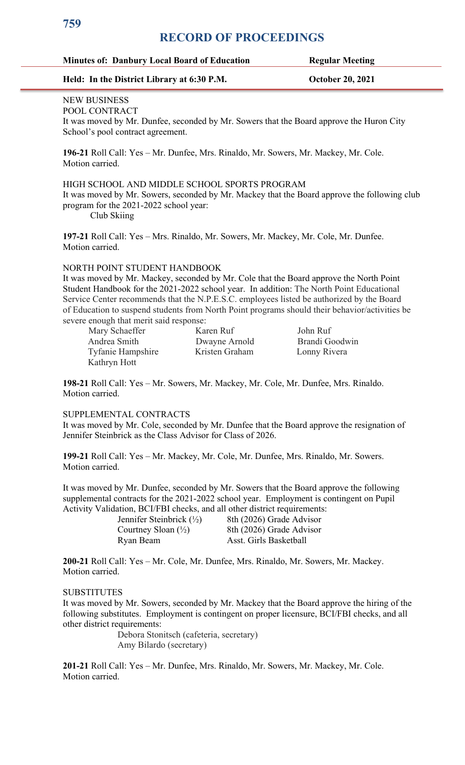#### **Minutes of: Danbury Local Board of Education Regular Meeting**

#### **Held: In the District Library at 6:30 P.M. October 20, 2021**

#### NEW BUSINESS POOL CONTRACT

It was moved by Mr. Dunfee, seconded by Mr. Sowers that the Board approve the Huron City School's pool contract agreement.

**196-21** Roll Call: Yes – Mr. Dunfee, Mrs. Rinaldo, Mr. Sowers, Mr. Mackey, Mr. Cole. Motion carried.

#### HIGH SCHOOL AND MIDDLE SCHOOL SPORTS PROGRAM

It was moved by Mr. Sowers, seconded by Mr. Mackey that the Board approve the following club program for the 2021-2022 school year:

Club Skiing

**197-21** Roll Call: Yes – Mrs. Rinaldo, Mr. Sowers, Mr. Mackey, Mr. Cole, Mr. Dunfee. Motion carried.

#### NORTH POINT STUDENT HANDBOOK

It was moved by Mr. Mackey, seconded by Mr. Cole that the Board approve the North Point Student Handbook for the 2021-2022 school year. In addition: The North Point Educational Service Center recommends that the N.P.E.S.C. employees listed be authorized by the Board of Education to suspend students from North Point programs should their behavior/activities be severe enough that merit said response:

Mary Schaeffer Karen Ruf John Ruf Andrea Smith Dwayne Arnold Brandi Goodwin Tyfanie Hampshire Kristen Graham Lonny Rivera Kathryn Hott

**198-21** Roll Call: Yes – Mr. Sowers, Mr. Mackey, Mr. Cole, Mr. Dunfee, Mrs. Rinaldo. Motion carried.

#### SUPPLEMENTAL CONTRACTS

It was moved by Mr. Cole, seconded by Mr. Dunfee that the Board approve the resignation of Jennifer Steinbrick as the Class Advisor for Class of 2026.

**199-21** Roll Call: Yes – Mr. Mackey, Mr. Cole, Mr. Dunfee, Mrs. Rinaldo, Mr. Sowers. Motion carried.

It was moved by Mr. Dunfee, seconded by Mr. Sowers that the Board approve the following supplemental contracts for the 2021-2022 school year. Employment is contingent on Pupil Activity Validation, BCI/FBI checks, and all other district requirements:

| Jennifer Steinbrick $(\frac{1}{2})$ | 8th (2026) Grade Advisor |
|-------------------------------------|--------------------------|
| Courtney Sloan $(\frac{1}{2})$      | 8th (2026) Grade Advisor |
| Ryan Beam                           | Asst. Girls Basketball   |

**200-21** Roll Call: Yes – Mr. Cole, Mr. Dunfee, Mrs. Rinaldo, Mr. Sowers, Mr. Mackey. Motion carried.

#### **SUBSTITUTES**

It was moved by Mr. Sowers, seconded by Mr. Mackey that the Board approve the hiring of the following substitutes. Employment is contingent on proper licensure, BCI/FBI checks, and all other district requirements:

Debora Stonitsch (cafeteria, secretary) Amy Bilardo (secretary)

**201-21** Roll Call: Yes – Mr. Dunfee, Mrs. Rinaldo, Mr. Sowers, Mr. Mackey, Mr. Cole. Motion carried.